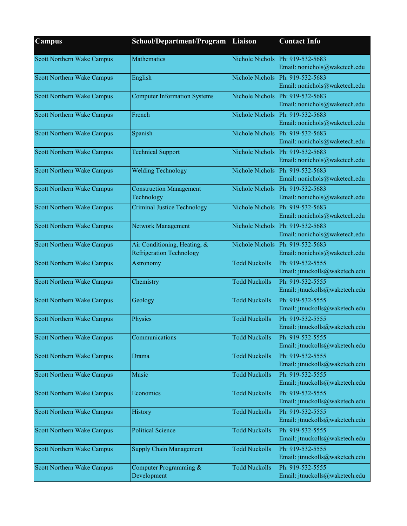| $C$ ampus                         | School/Department/Program                                       | Liaison              | <b>Contact Info</b>                                               |
|-----------------------------------|-----------------------------------------------------------------|----------------------|-------------------------------------------------------------------|
| Scott Northern Wake Campus        | Mathematics                                                     | Nichole Nichols      | Ph: 919-532-5683<br>Email: nonichols@waketech.edu                 |
| <b>Scott Northern Wake Campus</b> | English                                                         |                      | Nichole Nichols Ph: 919-532-5683<br>Email: nonichols@waketech.edu |
| Scott Northern Wake Campus        | <b>Computer Information Systems</b>                             | Nichole Nichols      | Ph: 919-532-5683<br>Email: nonichols@waketech.edu                 |
| Scott Northern Wake Campus        | French                                                          | Nichole Nichols      | Ph: 919-532-5683<br>Email: nonichols@waketech.edu                 |
| Scott Northern Wake Campus        | Spanish                                                         | Nichole Nichols      | Ph: 919-532-5683<br>Email: nonichols@waketech.edu                 |
| Scott Northern Wake Campus        | <b>Technical Support</b>                                        | Nichole Nichols      | Ph: 919-532-5683<br>Email: nonichols@waketech.edu                 |
| <b>Scott Northern Wake Campus</b> | <b>Welding Technology</b>                                       | Nichole Nichols      | Ph: 919-532-5683<br>Email: nonichols@waketech.edu                 |
| Scott Northern Wake Campus        | <b>Construction Management</b><br>Technology                    | Nichole Nichols      | Ph: 919-532-5683<br>Email: nonichols@waketech.edu                 |
| Scott Northern Wake Campus        | <b>Criminal Justice Technology</b>                              | Nichole Nichols      | Ph: 919-532-5683<br>Email: nonichols@waketech.edu                 |
| Scott Northern Wake Campus        | Network Management                                              | Nichole Nichols      | Ph: 919-532-5683<br>Email: nonichols@waketech.edu                 |
| Scott Northern Wake Campus        | Air Conditioning, Heating, &<br><b>Refrigeration Technology</b> | Nichole Nichols      | Ph: 919-532-5683<br>Email: nonichols@waketech.edu                 |
| Scott Northern Wake Campus        | Astronomy                                                       | <b>Todd Nuckolls</b> | Ph: 919-532-5555<br>Email: jtnuckolls@waketech.edu                |
| <b>Scott Northern Wake Campus</b> | Chemistry                                                       | <b>Todd Nuckolls</b> | Ph: 919-532-5555<br>Email: jtnuckolls@waketech.edu                |
| Scott Northern Wake Campus        | Geology                                                         | <b>Todd Nuckolls</b> | Ph: 919-532-5555<br>Email: jtnuckolls@waketech.edu                |
| Scott Northern Wake Campus        | Physics                                                         | <b>Todd Nuckolls</b> | Ph: 919-532-5555<br>Email: jtnuckolls@waketech.edu                |
| <b>Scott Northern Wake Campus</b> | Communications                                                  | <b>Todd Nuckolls</b> | Ph: 919-532-5555<br>Email: jtnuckolls@waketech.edu                |
| Scott Northern Wake Campus        | <b>Drama</b>                                                    | <b>Todd Nuckolls</b> | Ph: 919-532-5555<br>Email: jtnuckolls@waketech.edu                |
| Scott Northern Wake Campus        | Music                                                           | <b>Todd Nuckolls</b> | Ph: 919-532-5555<br>Email: jtnuckolls@waketech.edu                |
| Scott Northern Wake Campus        | Economics                                                       | <b>Todd Nuckolls</b> | Ph: 919-532-5555<br>Email: jtnuckolls@waketech.edu                |
| Scott Northern Wake Campus        | History                                                         | <b>Todd Nuckolls</b> | Ph: 919-532-5555<br>Email: jtnuckolls@waketech.edu                |
| Scott Northern Wake Campus        | <b>Political Science</b>                                        | <b>Todd Nuckolls</b> | Ph: 919-532-5555<br>Email: jtnuckolls@waketech.edu                |
| Scott Northern Wake Campus        | <b>Supply Chain Management</b>                                  | <b>Todd Nuckolls</b> | Ph: 919-532-5555<br>Email: jtnuckolls@waketech.edu                |
| Scott Northern Wake Campus        | Computer Programming &<br>Development                           | <b>Todd Nuckolls</b> | Ph: 919-532-5555<br>Email: jtnuckolls@waketech.edu                |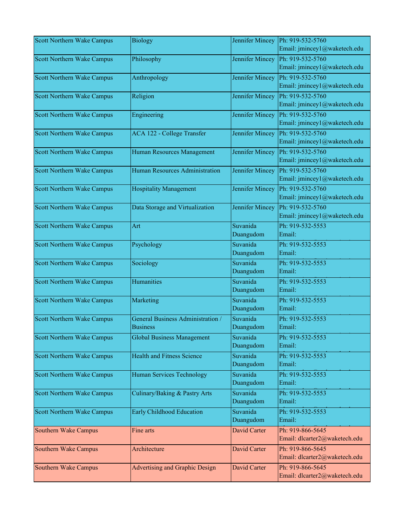| <b>Scott Northern Wake Campus</b> | <b>Biology</b>                    | Jennifer Mincey | Ph: 919-532-5760              |
|-----------------------------------|-----------------------------------|-----------------|-------------------------------|
|                                   |                                   |                 | Email: jmincey1@waketech.edu  |
| <b>Scott Northern Wake Campus</b> | Philosophy                        | Jennifer Mincey | Ph: 919-532-5760              |
|                                   |                                   |                 | Email: jmincey1@waketech.edu  |
| <b>Scott Northern Wake Campus</b> | Anthropology                      | Jennifer Mincey | Ph: 919-532-5760              |
|                                   |                                   |                 | Email: jmincey1@waketech.edu  |
| Scott Northern Wake Campus        | Religion                          | Jennifer Mincey | Ph: 919-532-5760              |
|                                   |                                   |                 | Email: jmincey1@waketech.edu  |
| Scott Northern Wake Campus        | Engineering                       | Jennifer Mincey | Ph: 919-532-5760              |
|                                   |                                   |                 | Email: jmincey1@waketech.edu  |
| Scott Northern Wake Campus        | ACA 122 - College Transfer        | Jennifer Mincey | Ph: 919-532-5760              |
|                                   |                                   |                 | Email: jmincey1@waketech.edu  |
| <b>Scott Northern Wake Campus</b> | Human Resources Management        | Jennifer Mincey | Ph: 919-532-5760              |
|                                   |                                   |                 | Email: jmincey1@waketech.edu  |
| Scott Northern Wake Campus        | Human Resources Administration    | Jennifer Mincey | Ph: 919-532-5760              |
|                                   |                                   |                 | Email: jmincey1@waketech.edu  |
| <b>Scott Northern Wake Campus</b> | <b>Hospitality Management</b>     | Jennifer Mincey | Ph: 919-532-5760              |
|                                   |                                   |                 | Email: jmincey1@waketech.edu  |
| Scott Northern Wake Campus        | Data Storage and Virtualization   | Jennifer Mincey | Ph: 919-532-5760              |
|                                   |                                   |                 | Email: jmincey1@waketech.edu  |
| <b>Scott Northern Wake Campus</b> | Art                               | Suvanida        | Ph: 919-532-5553              |
|                                   |                                   | Duangudom       | Email:                        |
| <b>Scott Northern Wake Campus</b> | Psychology                        | Suvanida        | Ph: 919-532-5553              |
|                                   |                                   | Duangudom       | Email:                        |
| Scott Northern Wake Campus        | Sociology                         | Suvanida        | Ph: 919-532-5553              |
|                                   |                                   | Duangudom       | Email:                        |
| Scott Northern Wake Campus        | Humanities                        | Suvanida        | Ph: 919-532-5553              |
|                                   |                                   | Duangudom       | Email:                        |
| <b>Scott Northern Wake Campus</b> | Marketing                         | Suvanida        | Ph: 919-532-5553              |
|                                   |                                   | Duangudom       | Email:                        |
| Scott Northern Wake Campus        | General Business Administration / | Suvanida        | Ph: 919-532-5553              |
|                                   | <b>Business</b>                   | Duangudom       | Email:                        |
| Scott Northern Wake Campus        | <b>Global Business Management</b> | Suvanida        | Ph: 919-532-5553              |
|                                   |                                   | Duangudom       | Email:                        |
| Scott Northern Wake Campus        | <b>Health and Fitness Science</b> | Suvanida        | Ph: 919-532-5553              |
|                                   |                                   | Duangudom       | Email:                        |
| Scott Northern Wake Campus        | Human Services Technology         | Suvanida        | Ph: 919-532-5553              |
|                                   |                                   | Duangudom       | Email:                        |
| Scott Northern Wake Campus        | Culinary/Baking & Pastry Arts     | Suvanida        | Ph: 919-532-5553              |
|                                   |                                   | Duangudom       | Email:                        |
| Scott Northern Wake Campus        | <b>Early Childhood Education</b>  | Suvanida        | Ph: 919-532-5553              |
|                                   |                                   | Duangudom       | Email:                        |
| Southern Wake Campus              | Fine arts                         | David Carter    | Ph: 919-866-5645              |
|                                   |                                   |                 | Email: dlcarter2@waketech.edu |
| Southern Wake Campus              | Architecture                      | David Carter    | Ph: 919-866-5645              |
|                                   |                                   |                 | Email: dlcarter2@waketech.edu |
| Southern Wake Campus              | Advertising and Graphic Design    | David Carter    | Ph: 919-866-5645              |
|                                   |                                   |                 | Email: dlcarter2@waketech.edu |
|                                   |                                   |                 |                               |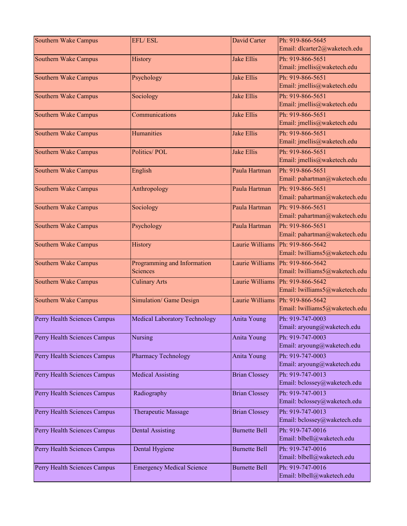| Southern Wake Campus         | <b>EFL/ESL</b>                       | <b>David Carter</b>  | Ph: 919-866-5645<br>Email: dlcarter2@waketech.edu |
|------------------------------|--------------------------------------|----------------------|---------------------------------------------------|
|                              |                                      |                      |                                                   |
| Southern Wake Campus         | History                              | <b>Jake Ellis</b>    | Ph: 919-866-5651<br>Email: jmellis@waketech.edu   |
| Southern Wake Campus         | Psychology                           | <b>Jake Ellis</b>    | Ph: 919-866-5651                                  |
|                              |                                      |                      | Email: jmellis@waketech.edu                       |
| Southern Wake Campus         | Sociology                            | <b>Jake Ellis</b>    | Ph: 919-866-5651                                  |
|                              |                                      |                      | Email: jmellis@waketech.edu                       |
| Southern Wake Campus         | Communications                       | <b>Jake Ellis</b>    | Ph: 919-866-5651                                  |
|                              |                                      |                      | Email: jmellis@waketech.edu                       |
| <b>Southern Wake Campus</b>  | Humanities                           | <b>Jake Ellis</b>    | Ph: 919-866-5651                                  |
|                              |                                      |                      | Email: jmellis@waketech.edu                       |
| Southern Wake Campus         | Politics/POL                         | <b>Jake Ellis</b>    | Ph: 919-866-5651                                  |
|                              |                                      |                      | Email: jmellis@waketech.edu                       |
| Southern Wake Campus         | English                              | Paula Hartman        | Ph: 919-866-5651                                  |
|                              |                                      |                      | Email: pahartman@waketech.edu                     |
| <b>Southern Wake Campus</b>  | Anthropology                         | Paula Hartman        | Ph: 919-866-5651                                  |
|                              |                                      |                      | Email: pahartman@waketech.edu                     |
| Southern Wake Campus         | Sociology                            | Paula Hartman        | Ph: 919-866-5651                                  |
|                              |                                      |                      | Email: pahartman@waketech.edu                     |
| Southern Wake Campus         | Psychology                           | Paula Hartman        | Ph: 919-866-5651                                  |
|                              |                                      |                      | Email: pahartman@waketech.edu                     |
| Southern Wake Campus         | History                              | Laurie Williams      | Ph: 919-866-5642                                  |
|                              |                                      |                      | Email: lwilliams5@waketech.edu                    |
| Southern Wake Campus         | Programming and Information          | Laurie Williams      | Ph: 919-866-5642                                  |
|                              | Sciences                             |                      | Email: lwilliams5@waketech.edu                    |
| Southern Wake Campus         | <b>Culinary Arts</b>                 | Laurie Williams      | Ph: 919-866-5642                                  |
|                              |                                      |                      | Email: lwilliams5@waketech.edu                    |
| Southern Wake Campus         | Simulation/ Game Design              | Laurie Williams      | Ph: 919-866-5642                                  |
|                              |                                      |                      | Email: lwilliams5@waketech.edu                    |
| Perry Health Sciences Campus | <b>Medical Laboratory Technology</b> | Anita Young          | Ph: 919-747-0003                                  |
|                              |                                      |                      | Email: aryoung@waketech.edu                       |
| Perry Health Sciences Campus | Nursing                              | Anita Young          | Ph: 919-747-0003                                  |
|                              |                                      |                      | Email: aryoung@waketech.edu                       |
| Perry Health Sciences Campus | <b>Pharmacy Technology</b>           | Anita Young          | Ph: 919-747-0003                                  |
|                              |                                      |                      | Email: aryoung@waketech.edu                       |
| Perry Health Sciences Campus | <b>Medical Assisting</b>             | <b>Brian Clossey</b> | Ph: 919-747-0013                                  |
|                              |                                      |                      | Email: bclossey@waketech.edu                      |
| Perry Health Sciences Campus | Radiography                          | <b>Brian Clossey</b> | Ph: 919-747-0013                                  |
|                              |                                      |                      | Email: bclossey@waketech.edu                      |
| Perry Health Sciences Campus | Therapeutic Massage                  | <b>Brian Clossey</b> | Ph: 919-747-0013                                  |
|                              |                                      |                      | Email: bclossey@waketech.edu                      |
| Perry Health Sciences Campus | <b>Dental Assisting</b>              | <b>Burnette Bell</b> | Ph: 919-747-0016                                  |
|                              |                                      |                      | Email: blbell@waketech.edu                        |
| Perry Health Sciences Campus | Dental Hygiene                       | <b>Burnette Bell</b> | Ph: 919-747-0016                                  |
|                              |                                      |                      | Email: blbell@waketech.edu                        |
| Perry Health Sciences Campus | <b>Emergency Medical Science</b>     | <b>Burnette Bell</b> | Ph: 919-747-0016                                  |
|                              |                                      |                      | Email: blbell@waketech.edu                        |
|                              |                                      |                      |                                                   |